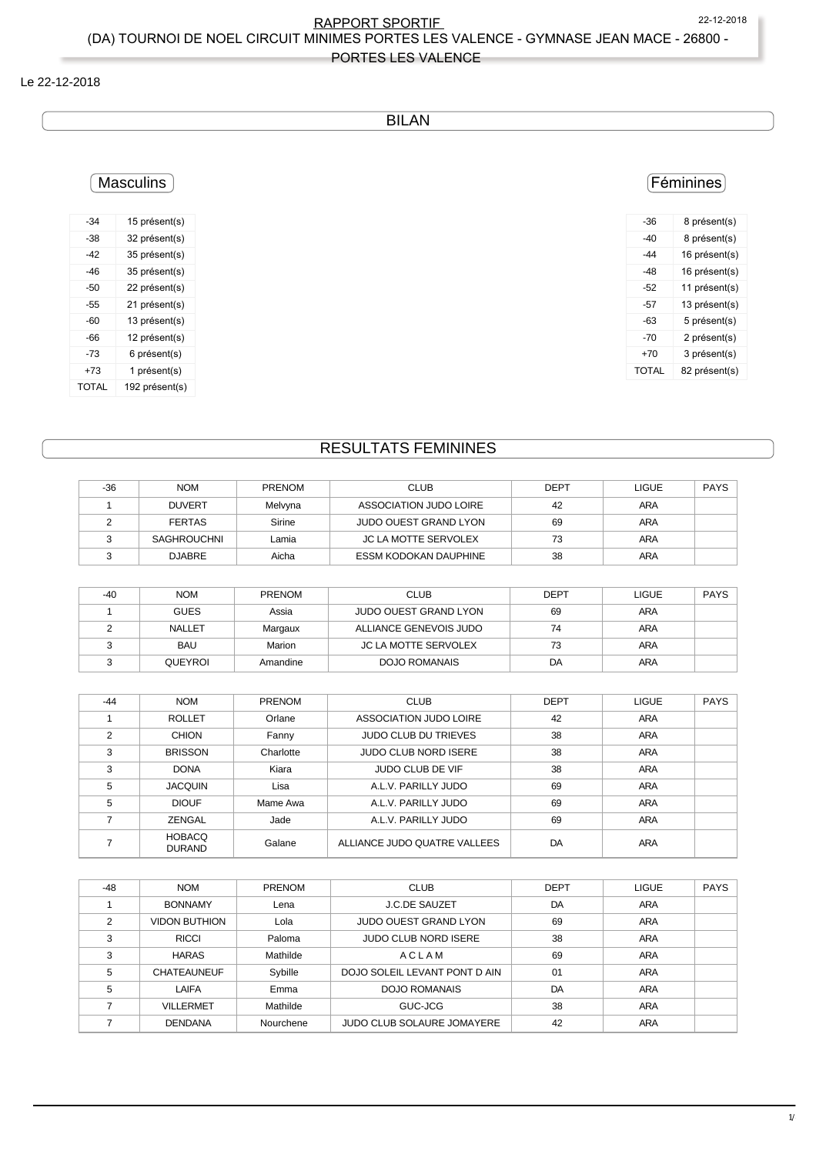RAPPORT SPORTIF 22-12-2018 (DA) TOURNOI DE NOEL CIRCUIT MINIMES PORTES LES VALENCE - GYMNASE JEAN MACE - 26800 -

## PORTES LES VALENCE

#### Le 22-12-2018

## BILAN

# **Masculins**

| -34   | 15 présent(s)  |
|-------|----------------|
| -38   | 32 présent(s)  |
| -42   | 35 présent(s)  |
| $-46$ | 35 présent(s)  |
| -50   | 22 présent(s)  |
| $-55$ | 21 présent(s)  |
| -60   | 13 présent(s)  |
| -66   | 12 présent(s)  |
| -73   | 6 présent(s)   |
| +73   | 1 présent(s)   |
| TOTAL | 192 présent(s) |

## Féminines

| -36          | 8 présent(s)  |
|--------------|---------------|
| -40          | 8 présent(s)  |
| -44          | 16 présent(s) |
| -48          | 16 présent(s) |
| -52          | 11 présent(s) |
| -57          | 13 présent(s) |
| -63          | 5 présent(s)  |
| -70          | 2 présent(s)  |
| +70          | 3 présent(s)  |
| <b>TOTAL</b> | 82 présent(s) |
|              |               |

# RESULTATS FEMININES

| $-36$ | <b>NOM</b>         | <b>PRENOM</b> | CLUB                         | <b>DEPT</b> | <b>LIGUE</b> | <b>PAYS</b> |
|-------|--------------------|---------------|------------------------------|-------------|--------------|-------------|
|       | <b>DUVERT</b>      | Melvvna       | ASSOCIATION JUDO LOIRE       | 42          | ARA          |             |
|       | <b>FERTAS</b>      | Sirine        | JUDO OUEST GRAND LYON        | 69          | ARA          |             |
|       | <b>SAGHROUCHNI</b> | Lamia         | <b>JC LA MOTTE SERVOLEX</b>  | 73          | ARA          |             |
|       | <b>DJABRE</b>      | Aicha         | <b>ESSM KODOKAN DAUPHINE</b> | 38          | ARA          |             |

| $-40$ | <b>NOM</b>    | <b>PRENOM</b> | <b>CLUB</b>                  | <b>DEPT</b> | <b>LIGUE</b> | <b>PAYS</b> |
|-------|---------------|---------------|------------------------------|-------------|--------------|-------------|
|       | <b>GUES</b>   | Assia         | <b>JUDO OUEST GRAND LYON</b> | 69          | <b>ARA</b>   |             |
|       | <b>NALLET</b> | Margaux       | ALLIANCE GENEVOIS JUDO       | 74          | <b>ARA</b>   |             |
|       | <b>BAU</b>    | Marion        | JC LA MOTTE SERVOLEX         | 73          | ARA          |             |
|       | QUEYROI       | Amandine      | <b>DOJO ROMANAIS</b>         | DA          | ARA          |             |

| $-44$ | <b>NOM</b>                     | <b>PRENOM</b> | <b>CLUB</b>                  | <b>DEPT</b> | <b>LIGUE</b> | <b>PAYS</b> |
|-------|--------------------------------|---------------|------------------------------|-------------|--------------|-------------|
|       | <b>ROLLET</b>                  | Orlane        | ASSOCIATION JUDO LOIRE       | 42          | ARA          |             |
| 2     | CHION                          | Fanny         | <b>JUDO CLUB DU TRIEVES</b>  | 38          | <b>ARA</b>   |             |
| 3     | <b>BRISSON</b>                 | Charlotte     | <b>JUDO CLUB NORD ISERE</b>  | 38          | <b>ARA</b>   |             |
| 3     | <b>DONA</b>                    | Kiara         | JUDO CLUB DE VIF             | 38          | ARA          |             |
| 5     | <b>JACQUIN</b>                 | Lisa          | A.L.V. PARILLY JUDO          | 69          | <b>ARA</b>   |             |
| 5     | <b>DIOUF</b>                   | Mame Awa      | A.L.V. PARILLY JUDO          | 69          | <b>ARA</b>   |             |
|       | ZENGAL                         | Jade          | A.L.V. PARILLY JUDO          | 69          | <b>ARA</b>   |             |
|       | <b>HOBACQ</b><br><b>DURAND</b> | Galane        | ALLIANCE JUDO QUATRE VALLEES | DA          | ARA          |             |

| $-48$ | <b>NOM</b>           | <b>PRENOM</b> | <b>CLUB</b>                   | <b>DEPT</b> | <b>LIGUE</b> | <b>PAYS</b> |
|-------|----------------------|---------------|-------------------------------|-------------|--------------|-------------|
|       | <b>BONNAMY</b>       | Lena          | <b>J.C.DE SAUZET</b>          | DA          | <b>ARA</b>   |             |
| 2     | <b>VIDON BUTHION</b> | Lola          | <b>JUDO OUEST GRAND LYON</b>  | 69          | <b>ARA</b>   |             |
| 3     | <b>RICCI</b>         | Paloma        | <b>JUDO CLUB NORD ISERE</b>   | 38          | ARA          |             |
| 3     | <b>HARAS</b>         | Mathilde      | ACLAM                         | 69          | <b>ARA</b>   |             |
| 5     | <b>CHATEAUNEUF</b>   | Sybille       | DOJO SOLEIL LEVANT PONT D AIN | 01          | <b>ARA</b>   |             |
| 5     | LAIFA                | Emma          | DOJO ROMANAIS                 | DA          | <b>ARA</b>   |             |
|       | <b>VILLERMET</b>     | Mathilde      | GUC-JCG                       | 38          | <b>ARA</b>   |             |
|       | <b>DENDANA</b>       | Nourchene     | JUDO CLUB SOLAURE JOMAYERE    | 42          | <b>ARA</b>   |             |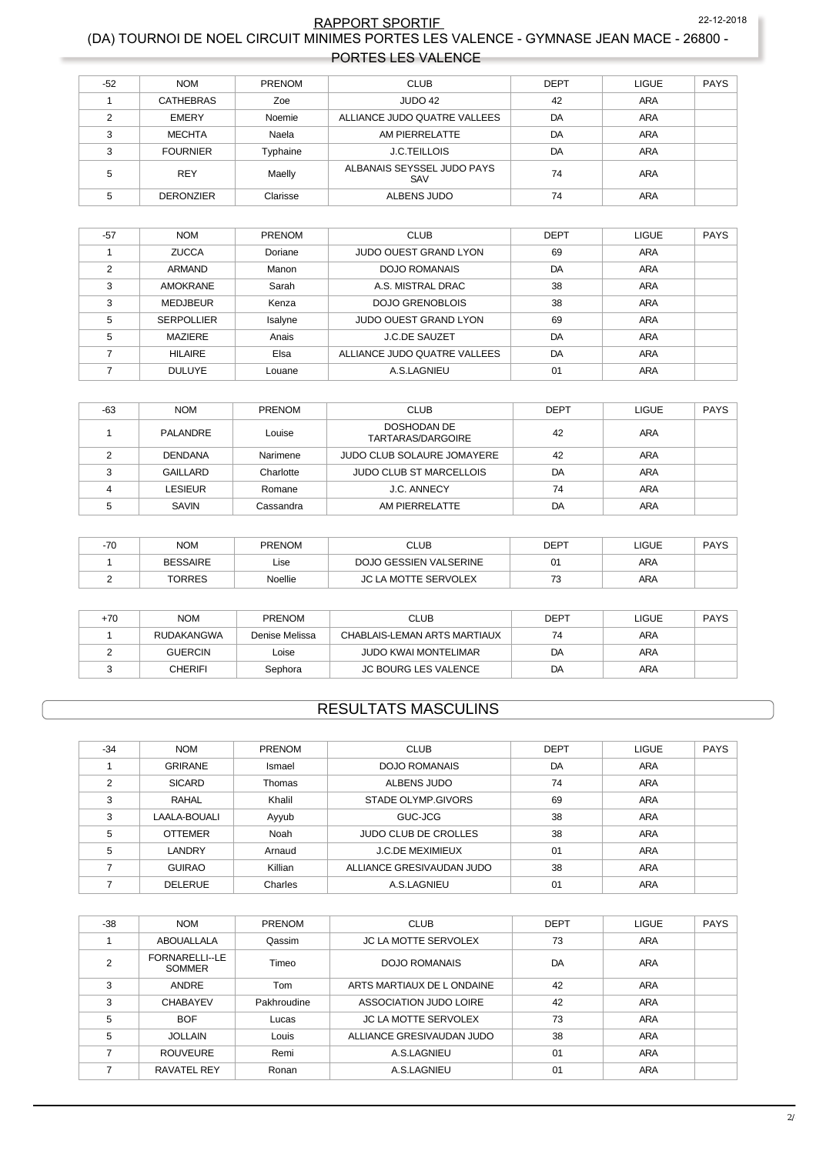### <sup>22-12-2</sup><br>- RAPPORT SPORTIE (DA) TOURNOI DE NOEL CIRCUIT MINIMES PORTES LES VALENCE - GYMNASE JEAN MACE - 26800 22-12-2018 PORTES LES VALENCE

| $-52$ | <b>NOM</b>       | <b>PRENOM</b> | <b>CLUB</b>                       | <b>DEPT</b> | <b>LIGUE</b> | PAYS |
|-------|------------------|---------------|-----------------------------------|-------------|--------------|------|
|       | <b>CATHEBRAS</b> | Zoe           | JUDO 42                           | 42          | <b>ARA</b>   |      |
| ◠     | <b>EMERY</b>     | Noemie        | ALLIANCE JUDO QUATRE VALLEES      | DA          | <b>ARA</b>   |      |
| 3     | <b>MECHTA</b>    | Naela         | AM PIERRELATTE                    | DA          | <b>ARA</b>   |      |
| 3     | <b>FOURNIER</b>  | Typhaine      | <b>J.C.TEILLOIS</b>               | DA          | <b>ARA</b>   |      |
| 5     | <b>REY</b>       | Maelly        | ALBANAIS SEYSSEL JUDO PAYS<br>SAV | 74          | <b>ARA</b>   |      |
| 5     | <b>DERONZIER</b> | Clarisse      | ALBENS JUDO                       | 74          | <b>ARA</b>   |      |

| $-57$ | <b>NOM</b>        | <b>PRENOM</b> | <b>CLUB</b>                  | <b>DEPT</b> | <b>LIGUE</b> | <b>PAYS</b> |
|-------|-------------------|---------------|------------------------------|-------------|--------------|-------------|
|       | <b>ZUCCA</b>      | Doriane       | <b>JUDO OUEST GRAND LYON</b> | 69          | <b>ARA</b>   |             |
| 2     | <b>ARMAND</b>     | Manon         | <b>DOJO ROMANAIS</b>         | DA          | <b>ARA</b>   |             |
| 3     | <b>AMOKRANE</b>   | Sarah         | A.S. MISTRAL DRAC            | 38          | ARA          |             |
| 3     | <b>MEDJBEUR</b>   | Kenza         | <b>DOJO GRENOBLOIS</b>       | 38          | ARA          |             |
| 5     | <b>SERPOLLIER</b> | Isalyne       | <b>JUDO OUEST GRAND LYON</b> | 69          | <b>ARA</b>   |             |
| 5     | MAZIERE           | Anais         | <b>J.C.DE SAUZET</b>         | DA          | <b>ARA</b>   |             |
|       | <b>HILAIRE</b>    | Elsa          | ALLIANCE JUDO QUATRE VALLEES | DA          | <b>ARA</b>   |             |
|       | <b>DULUYE</b>     | Louane        | A.S.LAGNIEU                  | 01          | <b>ARA</b>   |             |

| $-63$ | <b>NOM</b>     | <b>PRENOM</b> | <b>CLUB</b>                      | <b>DEPT</b> | <b>LIGUE</b> | PAYS |
|-------|----------------|---------------|----------------------------------|-------------|--------------|------|
|       | PALANDRE       | Louise        | DOSHODAN DE<br>TARTARAS/DARGOIRE | 42          | <b>ARA</b>   |      |
|       | <b>DENDANA</b> | Narimene      | JUDO CLUB SOLAURE JOMAYERE       | 42          | <b>ARA</b>   |      |
| ◠     | GAILLARD       | Charlotte     | <b>JUDO CLUB ST MARCELLOIS</b>   | DA          | ARA          |      |
|       | <b>LESIEUR</b> | Romane        | J.C. ANNECY                      | 74          | <b>ARA</b>   |      |
|       | SAVIN          | Cassandra     | AM PIERRELATTE                   | DA          | ARA          |      |

| 70<br>-70 | <b>NOM</b>      | PRENOM  | CLUB                        | DEPT | LIGUE | <b>DAVC</b> |
|-----------|-----------------|---------|-----------------------------|------|-------|-------------|
|           | <b>BESSAIRE</b> | ∟ise    | DOJO GESSIEN VALSERINE      | 01   | ARA   |             |
|           | TORRES          | Noellie | <b>JC LA MOTTE SERVOLEX</b> | 73   | ARA   |             |

| +70 | <b>NOM</b>     | <b>PRENOM</b>  | CLUB                         | <b>DEPT</b> | LIGUE | <b>PAYS</b> |
|-----|----------------|----------------|------------------------------|-------------|-------|-------------|
|     | RUDAKANGWA     | Denise Melissa | CHABLAIS-LEMAN ARTS MARTIAUX | 74          | ARA   |             |
|     | <b>GUERCIN</b> | Loise          | <b>JUDO KWAI MONTELIMAR</b>  | DA          | ARA   |             |
|     | <b>CHERIFI</b> | Sephora        | <b>JC BOURG LES VALENCE</b>  | DA          | ARA   |             |

## **RESULTATS MASCULINS**

| $-34$ | <b>NOM</b>     | <b>PRENOM</b> | <b>CLUB</b>                 | <b>DEPT</b> | <b>LIGUE</b> | <b>PAYS</b> |
|-------|----------------|---------------|-----------------------------|-------------|--------------|-------------|
|       | <b>GRIRANE</b> | Ismael        | <b>DOJO ROMANAIS</b>        | DA          | <b>ARA</b>   |             |
| 2     | <b>SICARD</b>  | <b>Thomas</b> | ALBENS JUDO                 | 74          | <b>ARA</b>   |             |
| 3     | <b>RAHAL</b>   | Khalil        | STADE OLYMP.GIVORS          | 69          | <b>ARA</b>   |             |
| 3     | LAALA-BOUALI   | Ayyub         | GUC-JCG                     | 38          | <b>ARA</b>   |             |
| 5     | <b>OTTEMER</b> | Noah          | <b>JUDO CLUB DE CROLLES</b> | 38          | <b>ARA</b>   |             |
| 5     | LANDRY         | Arnaud        | <b>J.C.DE MEXIMIEUX</b>     | 01          | <b>ARA</b>   |             |
|       | <b>GUIRAO</b>  | Killian       | ALLIANCE GRESIVAUDAN JUDO   | 38          | <b>ARA</b>   |             |
|       | <b>DELERUE</b> | Charles       | A.S.LAGNIEU                 | 01          | <b>ARA</b>   |             |

| $-38$ | <b>NOM</b>                      | <b>PRENOM</b> | <b>CLUB</b>                 | <b>DEPT</b> | <b>LIGUE</b> | <b>PAYS</b> |
|-------|---------------------------------|---------------|-----------------------------|-------------|--------------|-------------|
|       | ABOUALLALA                      | Qassim        | <b>JC LA MOTTE SERVOLEX</b> | 73          | <b>ARA</b>   |             |
|       | FORNARELLI--LE<br><b>SOMMER</b> | Timeo         | DOJO ROMANAIS               | DA          | <b>ARA</b>   |             |
| 3     | ANDRE                           | Tom           | ARTS MARTIAUX DE L ONDAINE  | 42          | <b>ARA</b>   |             |
| 3     | <b>CHABAYEV</b>                 | Pakhroudine   | ASSOCIATION JUDO LOIRE      | 42          | <b>ARA</b>   |             |
| 5     | <b>BOF</b>                      | Lucas         | <b>JC LA MOTTE SERVOLEX</b> | 73          | <b>ARA</b>   |             |
| 5     | <b>JOLLAIN</b>                  | Louis         | ALLIANCE GRESIVAUDAN JUDO   | 38          | <b>ARA</b>   |             |
|       | <b>ROUVEURE</b>                 | Remi          | A.S.LAGNIEU                 | 01          | <b>ARA</b>   |             |
|       | <b>RAVATEL REY</b>              | Ronan         | A.S.LAGNIEU                 | 01          | <b>ARA</b>   |             |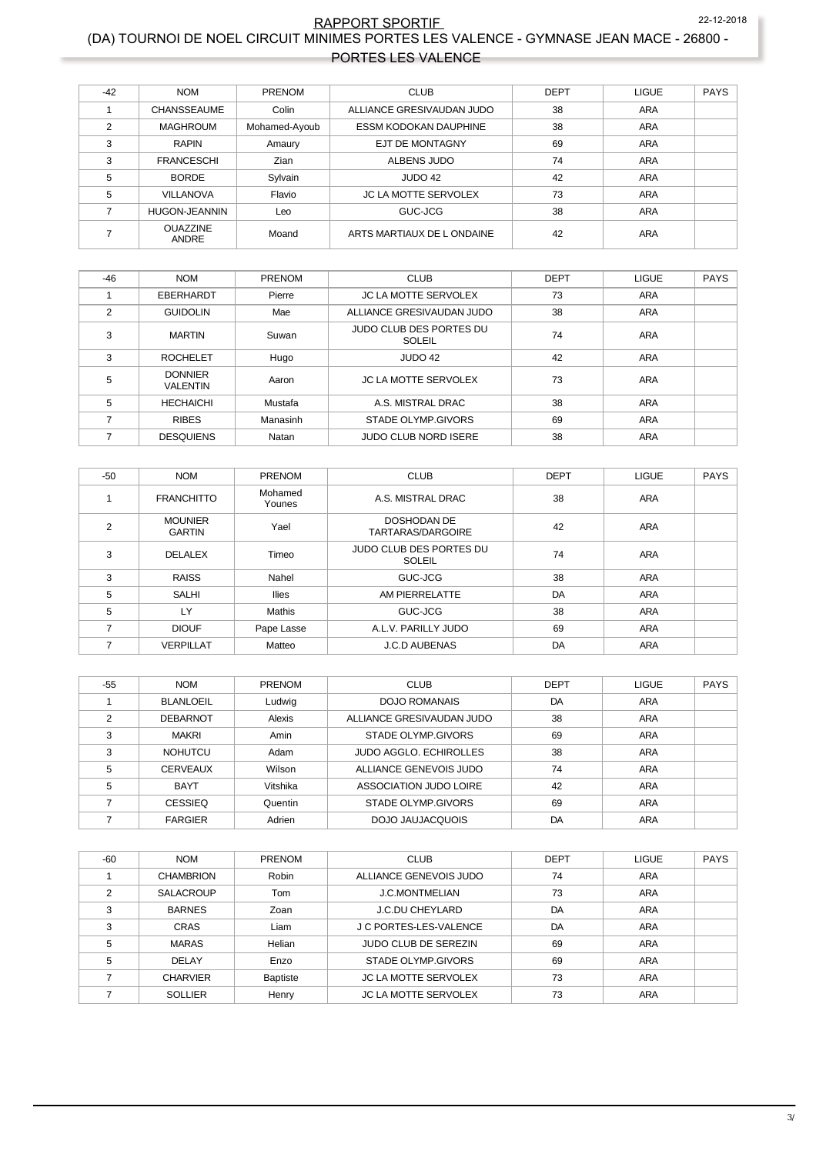### <sup>22-12-2</sup><br>- RAPPORT SPORTIE (DA) TOURNOI DE NOEL CIRCUIT MINIMES PORTES LES VALENCE - GYMNASE JEAN MACE - 26800 22-12-2018 PORTES LES VALENCE

| $-42$          | <b>NOM</b>               | <b>PRENOM</b> | <b>CLUB</b>                  | DEPT | <b>LIGUE</b> | PAYS |
|----------------|--------------------------|---------------|------------------------------|------|--------------|------|
|                | <b>CHANSSEAUME</b>       | Colin         | ALLIANCE GRESIVAUDAN JUDO    | 38   | <b>ARA</b>   |      |
| $\mathfrak{p}$ | <b>MAGHROUM</b>          | Mohamed-Ayoub | <b>ESSM KODOKAN DAUPHINE</b> | 38   | <b>ARA</b>   |      |
| 3              | <b>RAPIN</b>             | Amaury        | <b>EJT DE MONTAGNY</b>       | 69   | <b>ARA</b>   |      |
| 3              | <b>FRANCESCHI</b>        | Zian          | ALBENS JUDO                  | 74   | <b>ARA</b>   |      |
| 5              | <b>BORDE</b>             | Sylvain       | JUDO 42                      | 42   | <b>ARA</b>   |      |
| 5              | <b>VILLANOVA</b>         | Flavio        | <b>JC LA MOTTE SERVOLEX</b>  | 73   | <b>ARA</b>   |      |
|                | <b>HUGON-JEANNIN</b>     | Leo           | GUC-JCG                      | 38   | <b>ARA</b>   |      |
|                | <b>OUAZZINE</b><br>ANDRE | Moand         | ARTS MARTIAUX DE L ONDAINE   | 42   | <b>ARA</b>   |      |

| $-46$         | <b>NOM</b>                        | PRENOM   | <b>CLUB</b>                              | <b>DEPT</b> | <b>LIGUE</b> | <b>PAYS</b> |
|---------------|-----------------------------------|----------|------------------------------------------|-------------|--------------|-------------|
|               | EBERHARDT                         | Pierre   | <b>JC LA MOTTE SERVOLEX</b>              | 73          | <b>ARA</b>   |             |
| $\mathcal{P}$ | <b>GUIDOLIN</b>                   | Mae      | ALLIANCE GRESIVAUDAN JUDO                | 38          | <b>ARA</b>   |             |
| 3             | <b>MARTIN</b>                     | Suwan    | <b>JUDO CLUB DES PORTES DU</b><br>SOLEIL | 74          | ARA          |             |
| 3             | <b>ROCHELET</b>                   | Hugo     | JUDO 42                                  | 42          | ARA          |             |
| 5             | <b>DONNIER</b><br><b>VALENTIN</b> | Aaron    | <b>JC LA MOTTE SERVOLEX</b>              | 73          | ARA          |             |
| 5             | <b>HECHAICHI</b>                  | Mustafa  | A.S. MISTRAL DRAC                        | 38          | ARA          |             |
|               | <b>RIBES</b>                      | Manasinh | STADE OLYMP GIVORS                       | 69          | <b>ARA</b>   |             |
|               | <b>DESQUIENS</b>                  | Natan    | <b>JUDO CLUB NORD ISERE</b>              | 38          | <b>ARA</b>   |             |

| $-50$ | <b>NOM</b>                      | PRENOM            | <b>CLUB</b>                              | <b>DEPT</b> | <b>LIGUE</b> | <b>PAYS</b> |
|-------|---------------------------------|-------------------|------------------------------------------|-------------|--------------|-------------|
|       | <b>FRANCHITTO</b>               | Mohamed<br>Younes | A.S. MISTRAL DRAC                        | 38          | ARA          |             |
| 2     | <b>MOUNIER</b><br><b>GARTIN</b> | Yael              | <b>DOSHODAN DE</b><br>TARTARAS/DARGOIRE  | 42          | ARA          |             |
| 3     | <b>DELALEX</b>                  | Timeo             | <b>JUDO CLUB DES PORTES DU</b><br>SOLEIL | 74          | ARA          |             |
| 3     | <b>RAISS</b>                    | Nahel             | GUC-JCG                                  | 38          | <b>ARA</b>   |             |
| 5     | <b>SALHI</b>                    | <b>Ilies</b>      | AM PIERRELATTE                           | DA          | ARA          |             |
| 5     | LY                              | Mathis            | GUC-JCG                                  | 38          | <b>ARA</b>   |             |
| ⇁     | <b>DIOUF</b>                    | Pape Lasse        | A.L.V. PARILLY JUDO                      | 69          | <b>ARA</b>   |             |
|       | <b>VERPILLAT</b>                | Matteo            | <b>J.C.D AUBENAS</b>                     | DA          | <b>ARA</b>   |             |

| $-55$ | <b>NOM</b>       | <b>PRENOM</b> | <b>CLUB</b>                   | <b>DEPT</b> | <b>LIGUE</b> | <b>PAYS</b> |
|-------|------------------|---------------|-------------------------------|-------------|--------------|-------------|
|       | <b>BLANLOEIL</b> | Ludwig        | <b>DOJO ROMANAIS</b>          | DA          | ARA          |             |
| ົ     | <b>DEBARNOT</b>  | Alexis        | ALLIANCE GRESIVAUDAN JUDO     | 38          | <b>ARA</b>   |             |
| 3     | <b>MAKRI</b>     | Amin          | STADE OLYMP.GIVORS            | 69          | <b>ARA</b>   |             |
| 3     | <b>NOHUTCU</b>   | Adam          | <b>JUDO AGGLO, ECHIROLLES</b> | 38          | ARA          |             |
| 5     | <b>CERVEAUX</b>  | Wilson        | ALLIANCE GENEVOIS JUDO        | 74          | <b>ARA</b>   |             |
| 5     | <b>BAYT</b>      | Vitshika      | ASSOCIATION JUDO LOIRE        | 42          | ARA          |             |
|       | <b>CESSIEQ</b>   | Quentin       | STADE OLYMP.GIVORS            | 69          | <b>ARA</b>   |             |
|       | <b>FARGIER</b>   | Adrien        | DOJO JAUJACQUOIS              | DA          | <b>ARA</b>   |             |

| $-60$ | <b>NOM</b>       | <b>PRENOM</b>   | <b>CLUB</b>                 | DEPT | <b>LIGUE</b> | PAYS |
|-------|------------------|-----------------|-----------------------------|------|--------------|------|
|       | <b>CHAMBRION</b> | Robin           | ALLIANCE GENEVOIS JUDO      | 74   | ARA          |      |
| っ     | <b>SALACROUP</b> | Tom             | <b>J.C.MONTMELIAN</b>       | 73   | <b>ARA</b>   |      |
| 3     | <b>BARNES</b>    | Zoan            | <b>J.C.DU CHEYLARD</b>      | DA   | ARA          |      |
| 3     | <b>CRAS</b>      | Liam            | J C PORTES-LES-VALENCE      | DA   | <b>ARA</b>   |      |
| 5     | <b>MARAS</b>     | Helian          | <b>JUDO CLUB DE SEREZIN</b> | 69   | ARA          |      |
| 5     | <b>DELAY</b>     | Enzo            | STADE OLYMP.GIVORS          | 69   | <b>ARA</b>   |      |
|       | <b>CHARVIER</b>  | <b>Baptiste</b> | <b>JC LA MOTTE SERVOLEX</b> | 73   | <b>ARA</b>   |      |
|       | <b>SOLLIER</b>   | Henry           | <b>JC LA MOTTE SERVOLEX</b> | 73   | ARA          |      |